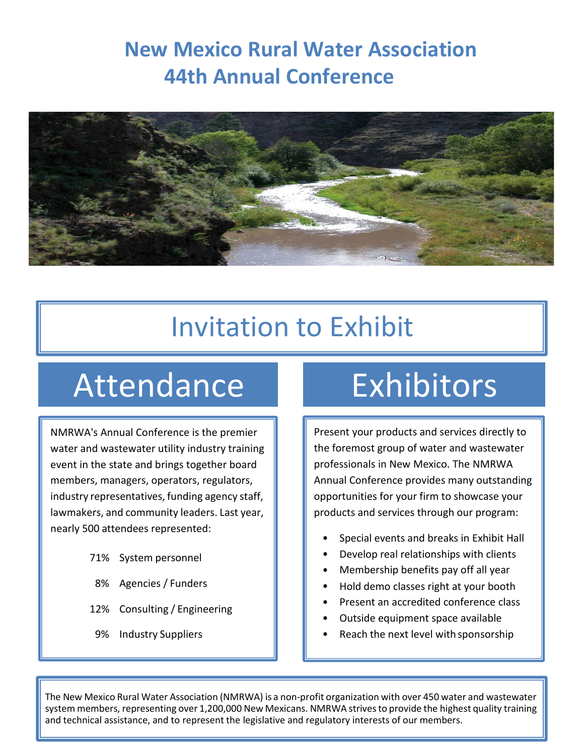# **New Mexico Rural Water Association 44th Annual Conference**



# Invitation to Exhibit

# Attendance Exhibitors

NMRWA's Annual Conference is the premier water and wastewater utility industry training event in the state and brings together board members, managers, operators, regulators, industry representatives, funding agency staff, lawmakers, and community leaders. Last year, nearly 500 attendees represented:

- 71% System personnel
- 8% Agencies / Funders
- 12% Consulting / Engineering
- 9% Industry Suppliers

Present your products and services directly to the foremost group of water and wastewater professionals in New Mexico. The NMRWA Annual Conference provides many outstanding opportunities for your firm to showcase your products and services through our program:

- Special events and breaks in Exhibit Hall
- Develop real relationships with clients
- Membership benefits pay off all year
- Hold demo classes right at your booth
- Present an accredited conference class
- Outside equipment space available
- Reach the next level with sponsorship

The New Mexico Rural Water Association (NMRWA) is a non-profit organization with over 450 water and wastewater system members, representing over 1,200,000 New Mexicans. NMRWA strives to provide the highest quality training and technical assistance, and to represent the legislative and regulatory interests of our members.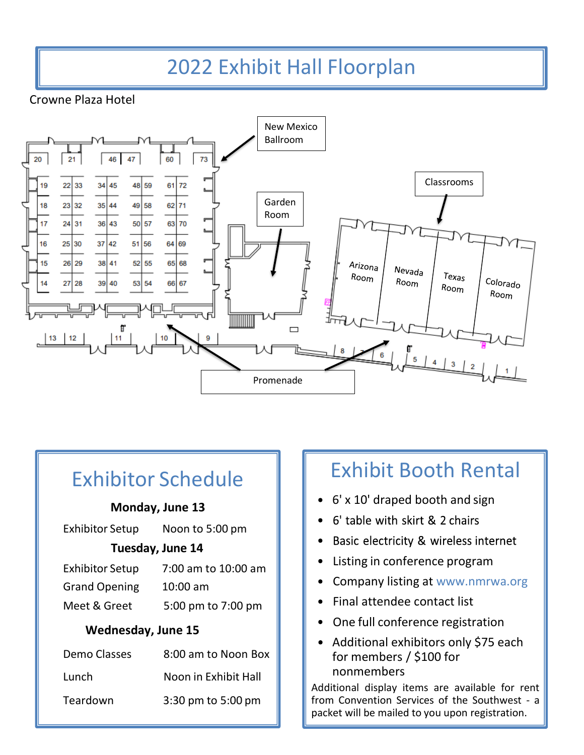# 2022 Exhibit Hall Floorplan

Crowne Plaza Hotel



| <b>Exhibitor Schedule</b> |                      |  |  |  |  |  |
|---------------------------|----------------------|--|--|--|--|--|
| Monday, June 13           |                      |  |  |  |  |  |
| Exhibitor Setup           | Noon to 5:00 pm      |  |  |  |  |  |
| Tuesday, June 14          |                      |  |  |  |  |  |
| Exhibitor Setup           | 7:00 am to 10:00 am  |  |  |  |  |  |
| <b>Grand Opening</b>      | $10:00$ am           |  |  |  |  |  |
| Meet & Greet              | 5:00 pm to 7:00 pm   |  |  |  |  |  |
| <b>Wednesday, June 15</b> |                      |  |  |  |  |  |
| Demo Classes              | 8:00 am to Noon Box  |  |  |  |  |  |
| Lunch                     | Noon in Exhibit Hall |  |  |  |  |  |
| Teardown                  | 3:30 pm to 5:00 pm   |  |  |  |  |  |
|                           |                      |  |  |  |  |  |

### Exhibit Booth Rental

- 6' x 10' draped booth and sign
- 6' table with skirt & 2 chairs
- Basic electricity & wireless internet
- Listing in conference program
- Company listing at [www.nmrwa.org](http://www.nmrwa.org/)
- Final attendee contact list
- One full conference registration
- Additional exhibitors only \$75 each for members / \$100 for nonmembers

Additional display items are available for rent from Convention Services of the Southwest - a packet will be mailed to you upon registration.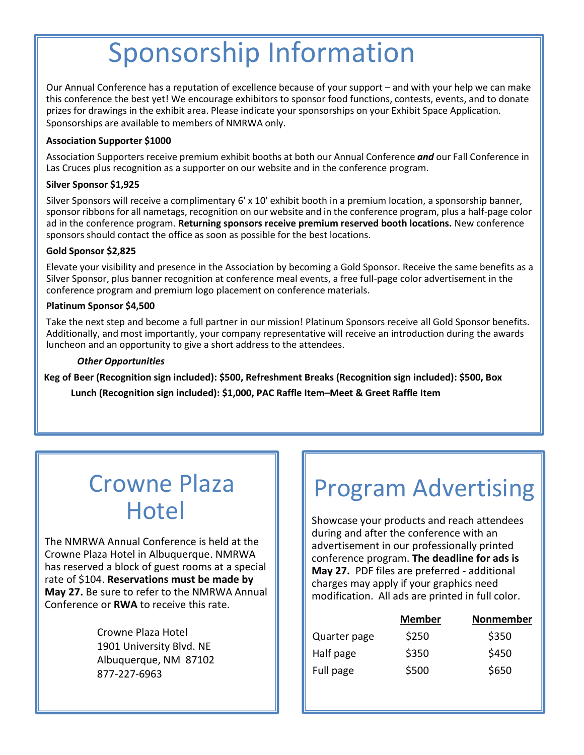# Sponsorship Information

Our Annual Conference has a reputation of excellence because of your support – and with your help we can make this conference the best yet! We encourage exhibitors to sponsor food functions, contests, events, and to donate prizes for drawings in the exhibit area. Please indicate your sponsorships on your Exhibit Space Application. Sponsorships are available to members of NMRWA only.

#### **Association Supporter \$1000**

Association Supporters receive premium exhibit booths at both our Annual Conference *and* our Fall Conference in Las Cruces plus recognition as a supporter on our website and in the conference program.

#### **Silver Sponsor \$1,925**

Silver Sponsors will receive a complimentary 6' x 10' exhibit booth in a premium location, a sponsorship banner, sponsor ribbons for all nametags, recognition on our website and in the conference program, plus a half-page color ad in the conference program. **Returning sponsors receive premium reserved booth locations.** New conference sponsors should contact the office as soon as possible for the best locations.

#### **Gold Sponsor \$2,825**

Elevate your visibility and presence in the Association by becoming a Gold Sponsor. Receive the same benefits as a Silver Sponsor, plus banner recognition at conference meal events, a free full-page color advertisement in the conference program and premium logo placement on conference materials.

#### **Platinum Sponsor \$4,500**

Take the next step and become a full partner in our mission! Platinum Sponsors receive all Gold Sponsor benefits. Additionally, and most importantly, your company representative will receive an introduction during the awards luncheon and an opportunity to give a short address to the attendees.

#### *Other Opportunities*

**Keg of Beer (Recognition sign included): \$500, Refreshment Breaks (Recognition sign included): \$500, Box** 

**Lunch (Recognition sign included): \$1,000, PAC Raffle Item–Meet & Greet Raffle Item**

# Crowne Plaza **Hotel**

The NMRWA Annual Conference is held at the Crowne Plaza Hotel in Albuquerque. NMRWA has reserved a block of guest rooms at a special rate of \$104. **Reservations must be made by May 27.** Be sure to refer to the NMRWA Annual Conference or **RWA** to receive this rate.

> Crowne Plaza Hotel 1901 University Blvd. NE Albuquerque, NM 87102 877-227-6963

# Program Advertising

Showcase your products and reach attendees during and after the conference with an advertisement in our professionally printed conference program. **The deadline for ads is May 27.** PDF files are preferred - additional charges may apply if your graphics need modification. All ads are printed in full color.

|              | <b>Member</b> | Nonmember |
|--------------|---------------|-----------|
| Quarter page | \$250         | \$350     |
| Half page    | \$350         | \$450     |
| Full page    | \$500         | \$650     |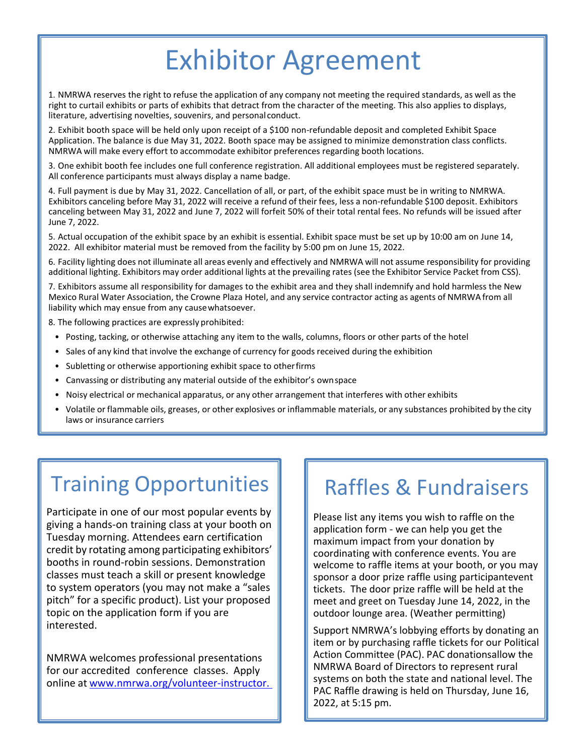# Exhibitor Agreement

1. NMRWA reserves the right to refuse the application of any company not meeting the required standards, as well as the right to curtail exhibits or parts of exhibits that detract from the character of the meeting. This also applies to displays, literature, advertising novelties, souvenirs, and personal conduct.

2. Exhibit booth space will be held only upon receipt of a \$100 non-refundable deposit and completed Exhibit Space Application. The balance is due May 31, 2022. Booth space may be assigned to minimize demonstration class conflicts. NMRWA will make every effort to accommodate exhibitor preferences regarding booth locations.

3. One exhibit booth fee includes one full conference registration. All additional employees must be registered separately. All conference participants must always display a name badge.

4. Full payment is due by May 31, 2022. Cancellation of all, or part, of the exhibit space must be in writing to NMRWA. Exhibitors canceling before May 31, 2022 will receive a refund of their fees, less a non-refundable \$100 deposit. Exhibitors canceling between May 31, 2022 and June 7, 2022 will forfeit 50% of their total rental fees. No refunds will be issued after June 7, 2022.

5. Actual occupation of the exhibit space by an exhibit is essential. Exhibit space must be set up by 10:00 am on June 14, 2022. All exhibitor material must be removed from the facility by 5:00 pm on June 15, 2022.

6. Facility lighting does not illuminate all areas evenly and effectively and NMRWA will not assume responsibility for providing additional lighting. Exhibitors may order additional lights at the prevailing rates (see the Exhibitor Service Packet from CSS).

7. Exhibitors assume all responsibility for damages to the exhibit area and they shall indemnify and hold harmless the New Mexico Rural Water Association, the Crowne Plaza Hotel, and any service contractor acting as agents of NMRWA from all liability which may ensue from any causewhatsoever.

8. The following practices are expressly prohibited:

- Posting, tacking, or otherwise attaching any item to the walls, columns, floors or other parts of the hotel
- Sales of any kind that involve the exchange of currency for goods received during the exhibition
- Subletting or otherwise apportioning exhibit space to otherfirms
- Canvassing or distributing any material outside of the exhibitor's ownspace
- Noisy electrical or mechanical apparatus, or any other arrangement that interferes with other exhibits
- Volatile or flammable oils, greases, or other explosives or inflammable materials, or any substances prohibited by the city laws or insurance carriers

# Training Opportunities

Participate in one of our most popular events by giving a hands-on training class at your booth on Tuesday morning. Attendees earn certification credit by rotating among participating exhibitors' booths in round-robin sessions. Demonstration classes must teach a skill or present knowledge to system operators (you may not make a "sales pitch" for a specific product). List your proposed topic on the application form if you are interested.

NMRWA welcomes professional presentations for our accredited conference classes. Apply online at [www.nmrwa.org/volunteer-instructor.](http://www.nmrwa.org/volunteer-instructor.%20%20%20or%20click%20the) 

### Raffles & Fundraisers

Please list any items you wish to raffle on the application form - we can help you get the maximum impact from your donation by coordinating with conference events. You are welcome to raffle items at your booth, or you may sponsor a door prize raffle using participantevent tickets. The door prize raffle will be held at the meet and greet on Tuesday June 14, 2022, in the outdoor lounge area. (Weather permitting)

Support NMRWA's lobbying efforts by donating an item or by purchasing raffle tickets for our Political Action Committee (PAC). PAC donationsallow the NMRWA Board of Directors to represent rural systems on both the state and national level. The PAC Raffle drawing is held on Thursday, June 16, 2022, at 5:15 pm.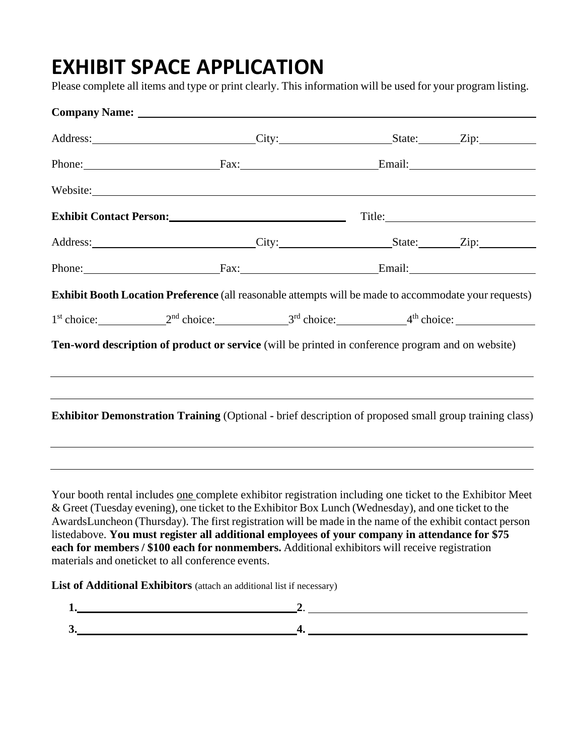### **EXHIBIT SPACE APPLICATION**

Please complete all items and type or print clearly. This information will be used for your program listing.

| Address: City: City: State: Zip:                                                                                                                                                                                                                                                                     |  |  |
|------------------------------------------------------------------------------------------------------------------------------------------------------------------------------------------------------------------------------------------------------------------------------------------------------|--|--|
| Phone: Fax: Email: Email:                                                                                                                                                                                                                                                                            |  |  |
| Website:                                                                                                                                                                                                                                                                                             |  |  |
| Exhibit Contact Person: Title: Title:                                                                                                                                                                                                                                                                |  |  |
| Address: City: City: State: Zip: Zip:                                                                                                                                                                                                                                                                |  |  |
| Phone: Fax: Fax: Email: Email:                                                                                                                                                                                                                                                                       |  |  |
| Exhibit Booth Location Preference (all reasonable attempts will be made to accommodate your requests)                                                                                                                                                                                                |  |  |
| $1st choice: 2nd choice: 3rd choice: 4th choice: 4th choice: 1st choice: 1st choice: 1st choice: 1st choice: 1st choice: 1st choice: 1st choice: 1st choice: 1st choice: 1st function: 1st function: 1st function: 1st function: 1st function: 1st function: $                                       |  |  |
| Ten-word description of product or service (will be printed in conference program and on website)                                                                                                                                                                                                    |  |  |
| <u> 1989 - Johann Stoff, amerikansk politiker (d. 1989)</u><br><b>Exhibitor Demonstration Training (Optional - brief description of proposed small group training class)</b><br><u> 1989 - Johann Barn, amerikan bernama di sebagai bernama dan bernama di sebagai bernama di sebagai bernama di</u> |  |  |
| Your booth rental includes one complete exhibitor registration including one ticket to the Exhibitor Meet                                                                                                                                                                                            |  |  |

& Greet (Tuesday evening), one ticket to the Exhibitor Box Lunch (Wednesday), and one ticket to the AwardsLuncheon (Thursday). The first registration will be made in the name of the exhibit contact person listedabove. **You must register all additional employees of your company in attendance for \$75 each for members / \$100 each for nonmembers.** Additional exhibitors will receive registration materials and oneticket to all conference events.

**List of Additional Exhibitors** (attach an additional list if necessary)

$$
\begin{array}{c}\n1. \\
2. \\
4. \n\end{array}
$$